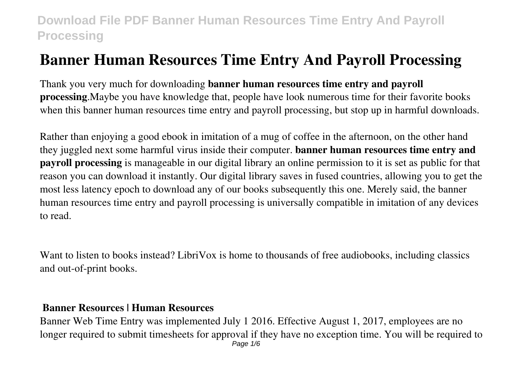# **Banner Human Resources Time Entry And Payroll Processing**

Thank you very much for downloading **banner human resources time entry and payroll processing**.Maybe you have knowledge that, people have look numerous time for their favorite books when this banner human resources time entry and payroll processing, but stop up in harmful downloads.

Rather than enjoying a good ebook in imitation of a mug of coffee in the afternoon, on the other hand they juggled next some harmful virus inside their computer. **banner human resources time entry and payroll processing** is manageable in our digital library an online permission to it is set as public for that reason you can download it instantly. Our digital library saves in fused countries, allowing you to get the most less latency epoch to download any of our books subsequently this one. Merely said, the banner human resources time entry and payroll processing is universally compatible in imitation of any devices to read.

Want to listen to books instead? LibriVox is home to thousands of free audiobooks, including classics and out-of-print books.

#### **Banner Resources | Human Resources**

Banner Web Time Entry was implemented July 1 2016. Effective August 1, 2017, employees are no longer required to submit timesheets for approval if they have no exception time. You will be required to Page  $1/6$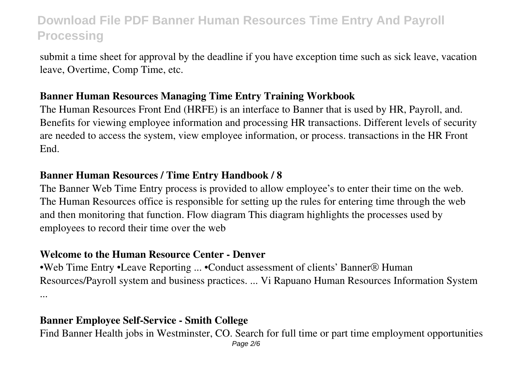submit a time sheet for approval by the deadline if you have exception time such as sick leave, vacation leave, Overtime, Comp Time, etc.

#### **Banner Human Resources Managing Time Entry Training Workbook**

The Human Resources Front End (HRFE) is an interface to Banner that is used by HR, Payroll, and. Benefits for viewing employee information and processing HR transactions. Different levels of security are needed to access the system, view employee information, or process. transactions in the HR Front End.

### **Banner Human Resources / Time Entry Handbook / 8**

The Banner Web Time Entry process is provided to allow employee's to enter their time on the web. The Human Resources office is responsible for setting up the rules for entering time through the web and then monitoring that function. Flow diagram This diagram highlights the processes used by employees to record their time over the web

### **Welcome to the Human Resource Center - Denver**

•Web Time Entry •Leave Reporting ... •Conduct assessment of clients' Banner® Human Resources/Payroll system and business practices. ... Vi Rapuano Human Resources Information System ...

## **Banner Employee Self-Service - Smith College**

Find Banner Health jobs in Westminster, CO. Search for full time or part time employment opportunities Page 2/6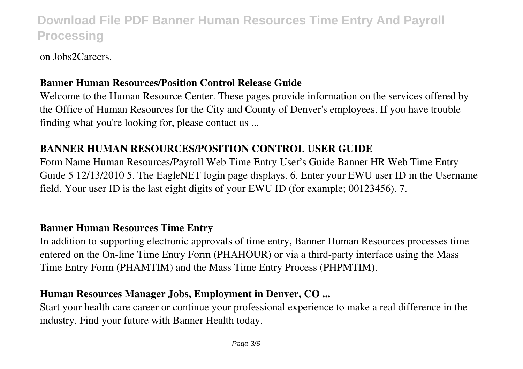on Jobs2Careers.

### **Banner Human Resources/Position Control Release Guide**

Welcome to the Human Resource Center. These pages provide information on the services offered by the Office of Human Resources for the City and County of Denver's employees. If you have trouble finding what you're looking for, please contact us ...

## **BANNER HUMAN RESOURCES/POSITION CONTROL USER GUIDE**

Form Name Human Resources/Payroll Web Time Entry User's Guide Banner HR Web Time Entry Guide 5 12/13/2010 5. The EagleNET login page displays. 6. Enter your EWU user ID in the Username field. Your user ID is the last eight digits of your EWU ID (for example; 00123456). 7.

### **Banner Human Resources Time Entry**

In addition to supporting electronic approvals of time entry, Banner Human Resources processes time entered on the On-line Time Entry Form (PHAHOUR) or via a third-party interface using the Mass Time Entry Form (PHAMTIM) and the Mass Time Entry Process (PHPMTIM).

## **Human Resources Manager Jobs, Employment in Denver, CO ...**

Start your health care career or continue your professional experience to make a real difference in the industry. Find your future with Banner Health today.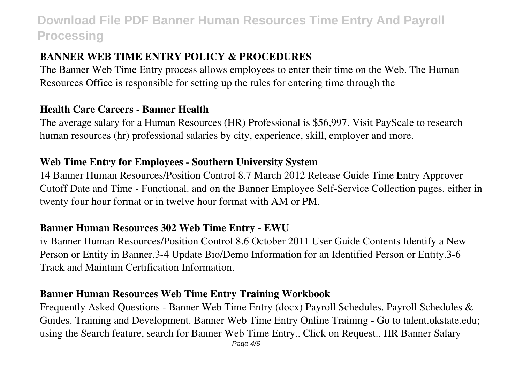## **BANNER WEB TIME ENTRY POLICY & PROCEDURES**

The Banner Web Time Entry process allows employees to enter their time on the Web. The Human Resources Office is responsible for setting up the rules for entering time through the

#### **Health Care Careers - Banner Health**

The average salary for a Human Resources (HR) Professional is \$56,997. Visit PayScale to research human resources (hr) professional salaries by city, experience, skill, employer and more.

#### **Web Time Entry for Employees - Southern University System**

14 Banner Human Resources/Position Control 8.7 March 2012 Release Guide Time Entry Approver Cutoff Date and Time - Functional. and on the Banner Employee Self-Service Collection pages, either in twenty four hour format or in twelve hour format with AM or PM.

#### **Banner Human Resources 302 Web Time Entry - EWU**

iv Banner Human Resources/Position Control 8.6 October 2011 User Guide Contents Identify a New Person or Entity in Banner.3-4 Update Bio/Demo Information for an Identified Person or Entity.3-6 Track and Maintain Certification Information.

### **Banner Human Resources Web Time Entry Training Workbook**

Frequently Asked Questions - Banner Web Time Entry (docx) Payroll Schedules. Payroll Schedules & Guides. Training and Development. Banner Web Time Entry Online Training - Go to talent.okstate.edu; using the Search feature, search for Banner Web Time Entry.. Click on Request.. HR Banner Salary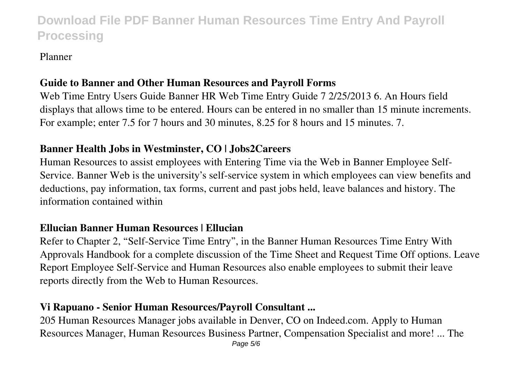#### Planner

## **Guide to Banner and Other Human Resources and Payroll Forms**

Web Time Entry Users Guide Banner HR Web Time Entry Guide 7 2/25/2013 6. An Hours field displays that allows time to be entered. Hours can be entered in no smaller than 15 minute increments. For example; enter 7.5 for 7 hours and 30 minutes, 8.25 for 8 hours and 15 minutes. 7.

## **Banner Health Jobs in Westminster, CO | Jobs2Careers**

Human Resources to assist employees with Entering Time via the Web in Banner Employee Self-Service. Banner Web is the university's self-service system in which employees can view benefits and deductions, pay information, tax forms, current and past jobs held, leave balances and history. The information contained within

### **Ellucian Banner Human Resources | Ellucian**

Refer to Chapter 2, "Self-Service Time Entry", in the Banner Human Resources Time Entry With Approvals Handbook for a complete discussion of the Time Sheet and Request Time Off options. Leave Report Employee Self-Service and Human Resources also enable employees to submit their leave reports directly from the Web to Human Resources.

### **Vi Rapuano - Senior Human Resources/Payroll Consultant ...**

205 Human Resources Manager jobs available in Denver, CO on Indeed.com. Apply to Human Resources Manager, Human Resources Business Partner, Compensation Specialist and more! ... The